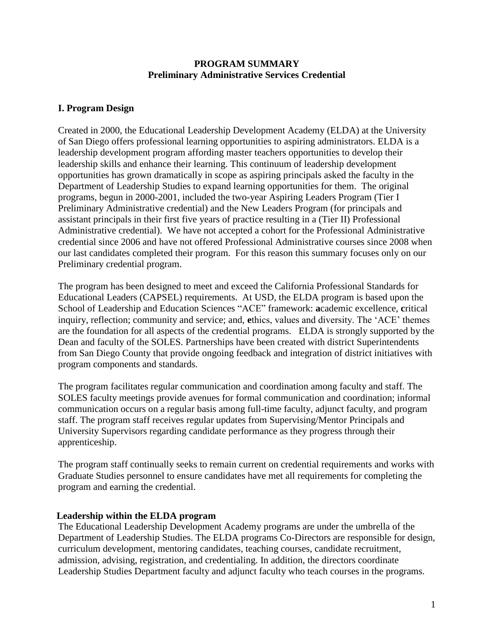#### **PROGRAM SUMMARY Preliminary Administrative Services Credential**

## **I. Program Design**

Created in 2000, the Educational Leadership Development Academy (ELDA) at the University of San Diego offers professional learning opportunities to aspiring administrators. ELDA is a leadership development program affording master teachers opportunities to develop their leadership skills and enhance their learning. This continuum of leadership development opportunities has grown dramatically in scope as aspiring principals asked the faculty in the Department of Leadership Studies to expand learning opportunities for them. The original programs, begun in 2000-2001, included the two-year Aspiring Leaders Program (Tier I Preliminary Administrative credential) and the New Leaders Program (for principals and assistant principals in their first five years of practice resulting in a (Tier II) Professional Administrative credential). We have not accepted a cohort for the Professional Administrative credential since 2006 and have not offered Professional Administrative courses since 2008 when our last candidates completed their program. For this reason this summary focuses only on our Preliminary credential program.

The program has been designed to meet and exceed the California Professional Standards for Educational Leaders (CAPSEL) requirements. At USD, the ELDA program is based upon the School of Leadership and Education Sciences "ACE" framework: **a**cademic excellence, **c**ritical inquiry, reflection; community and service; and, **e**thics, values and diversity. The "ACE" themes are the foundation for all aspects of the credential programs. ELDA is strongly supported by the Dean and faculty of the SOLES. Partnerships have been created with district Superintendents from San Diego County that provide ongoing feedback and integration of district initiatives with program components and standards.

The program facilitates regular communication and coordination among faculty and staff. The SOLES faculty meetings provide avenues for formal communication and coordination; informal communication occurs on a regular basis among full-time faculty, adjunct faculty, and program staff. The program staff receives regular updates from Supervising/Mentor Principals and University Supervisors regarding candidate performance as they progress through their apprenticeship.

The program staff continually seeks to remain current on credential requirements and works with Graduate Studies personnel to ensure candidates have met all requirements for completing the program and earning the credential.

#### **Leadership within the ELDA program**

The Educational Leadership Development Academy programs are under the umbrella of the Department of Leadership Studies. The ELDA programs Co-Directors are responsible for design, curriculum development, mentoring candidates, teaching courses, candidate recruitment, admission, advising, registration, and credentialing. In addition, the directors coordinate Leadership Studies Department faculty and adjunct faculty who teach courses in the programs.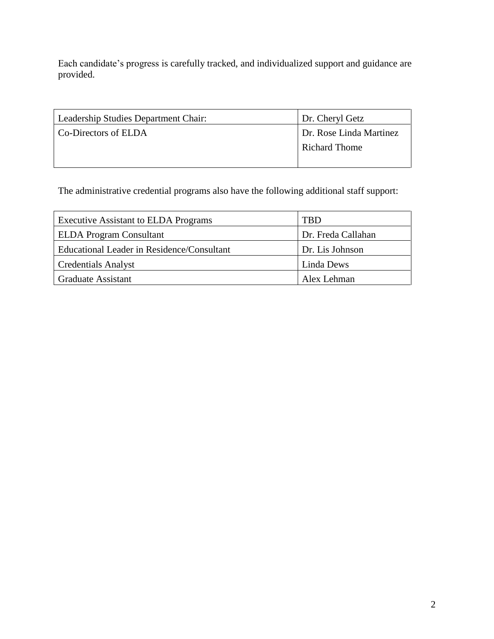Each candidate's progress is carefully tracked, and individualized support and guidance are provided.

| Leadership Studies Department Chair: | Dr. Cheryl Getz         |  |
|--------------------------------------|-------------------------|--|
| Co-Directors of ELDA                 | Dr. Rose Linda Martinez |  |
|                                      | <b>Richard Thome</b>    |  |
|                                      |                         |  |

The administrative credential programs also have the following additional staff support:

| <b>Executive Assistant to ELDA Programs</b> | TBD                |
|---------------------------------------------|--------------------|
| <b>ELDA</b> Program Consultant              | Dr. Freda Callahan |
| Educational Leader in Residence/Consultant  | Dr. Lis Johnson    |
| <b>Credentials Analyst</b>                  | Linda Dews         |
| <b>Graduate Assistant</b>                   | Alex Lehman        |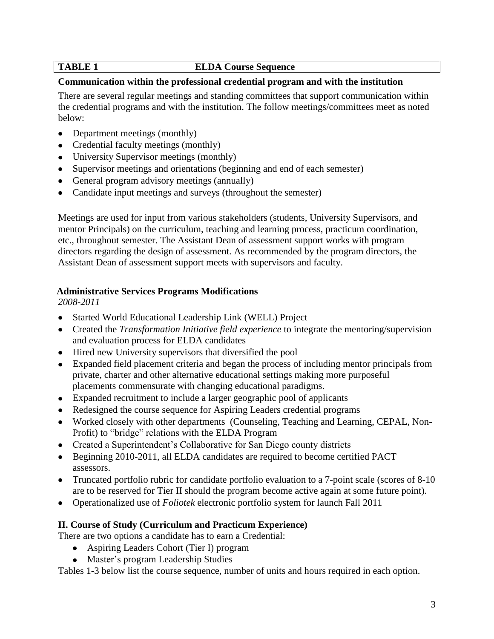## **TABLE 1** ELDA Course Sequence

## **Communication within the professional credential program and with the institution**

There are several regular meetings and standing committees that support communication within the credential programs and with the institution. The follow meetings/committees meet as noted below:

- Department meetings (monthly)
- Credential faculty meetings (monthly)
- University Supervisor meetings (monthly)
- Supervisor meetings and orientations (beginning and end of each semester)
- General program advisory meetings (annually)
- Candidate input meetings and surveys (throughout the semester)

Meetings are used for input from various stakeholders (students, University Supervisors, and mentor Principals) on the curriculum, teaching and learning process, practicum coordination, etc., throughout semester. The Assistant Dean of assessment support works with program directors regarding the design of assessment. As recommended by the program directors, the Assistant Dean of assessment support meets with supervisors and faculty.

## **Administrative Services Programs Modifications**

*2008-2011*

- Started World Educational Leadership Link (WELL) Project
- Created the *Transformation Initiative field experience* to integrate the mentoring/supervision and evaluation process for ELDA candidates
- Hired new University supervisors that diversified the pool
- Expanded field placement criteria and began the process of including mentor principals from private, charter and other alternative educational settings making more purposeful placements commensurate with changing educational paradigms.
- Expanded recruitment to include a larger geographic pool of applicants
- Redesigned the course sequence for Aspiring Leaders credential programs
- Worked closely with other departments (Counseling, Teaching and Learning, CEPAL, Non-Profit) to "bridge" relations with the ELDA Program
- Created a Superintendent's Collaborative for San Diego county districts
- Beginning 2010-2011, all ELDA candidates are required to become certified PACT assessors.
- Truncated portfolio rubric for candidate portfolio evaluation to a 7-point scale (scores of 8-10) are to be reserved for Tier II should the program become active again at some future point).
- Operationalized use of *Foliotek* electronic portfolio system for launch Fall 2011

#### **II. Course of Study (Curriculum and Practicum Experience)**

There are two options a candidate has to earn a Credential:

- Aspiring Leaders Cohort (Tier I) program
- Master's program Leadership Studies

Tables 1-3 below list the course sequence, number of units and hours required in each option.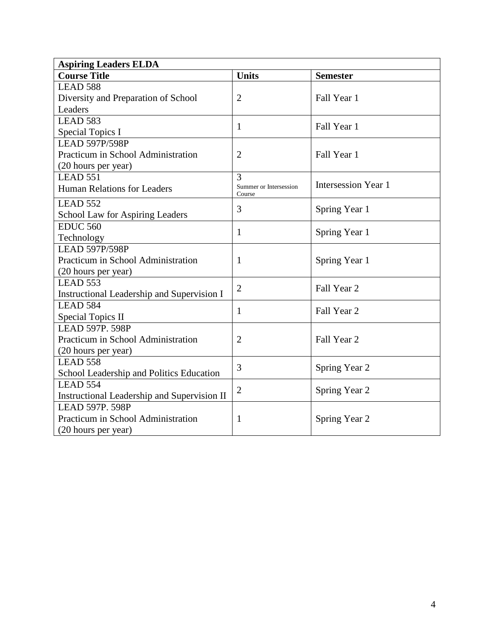| <b>Aspiring Leaders ELDA</b>                |                                  |                            |  |  |
|---------------------------------------------|----------------------------------|----------------------------|--|--|
| <b>Course Title</b>                         | <b>Units</b>                     | <b>Semester</b>            |  |  |
| LEAD 588                                    |                                  |                            |  |  |
| Diversity and Preparation of School         | $\overline{2}$                   | Fall Year 1                |  |  |
| Leaders                                     |                                  |                            |  |  |
| LEAD 583                                    | 1                                | Fall Year 1                |  |  |
| Special Topics I                            |                                  |                            |  |  |
| <b>LEAD 597P/598P</b>                       |                                  |                            |  |  |
| Practicum in School Administration          | $\overline{2}$                   | Fall Year 1                |  |  |
| (20 hours per year)                         |                                  |                            |  |  |
| <b>LEAD 551</b>                             | 3                                |                            |  |  |
| <b>Human Relations for Leaders</b>          | Summer or Intersession<br>Course | <b>Intersession Year 1</b> |  |  |
| LEAD 552                                    |                                  |                            |  |  |
| School Law for Aspiring Leaders             | 3                                | Spring Year 1              |  |  |
| <b>EDUC 560</b>                             |                                  |                            |  |  |
| Technology                                  | 1                                | Spring Year 1              |  |  |
| <b>LEAD 597P/598P</b>                       |                                  |                            |  |  |
| Practicum in School Administration          | 1                                | Spring Year 1              |  |  |
| (20 hours per year)                         |                                  |                            |  |  |
| LEAD 553                                    | $\overline{2}$                   | Fall Year 2                |  |  |
| Instructional Leadership and Supervision I  |                                  |                            |  |  |
| LEAD 584                                    | 1                                |                            |  |  |
| <b>Special Topics II</b>                    |                                  | Fall Year 2                |  |  |
| <b>LEAD 597P. 598P</b>                      |                                  |                            |  |  |
| Practicum in School Administration          | $\overline{2}$                   | Fall Year 2                |  |  |
| (20 hours per year)                         |                                  |                            |  |  |
| LEAD 558                                    | 3                                | Spring Year 2              |  |  |
| School Leadership and Politics Education    |                                  |                            |  |  |
| LEAD 554                                    | $\overline{2}$                   | Spring Year 2              |  |  |
| Instructional Leadership and Supervision II |                                  |                            |  |  |
| <b>LEAD 597P. 598P</b>                      |                                  |                            |  |  |
| Practicum in School Administration          | 1                                | Spring Year 2              |  |  |
| (20 hours per year)                         |                                  |                            |  |  |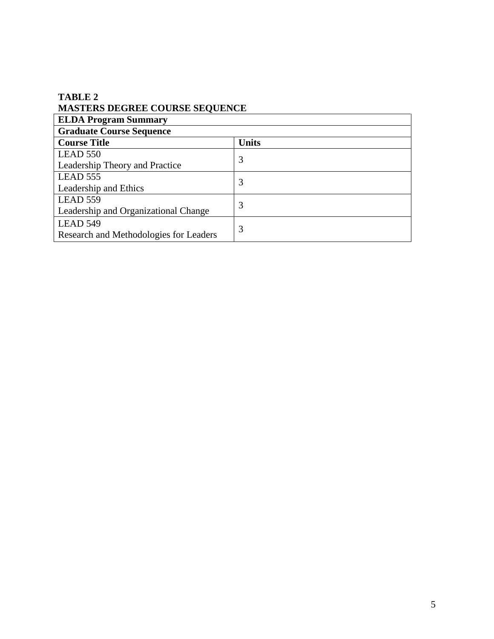## **TABLE 2 MASTERS DEGREE COURSE SEQUENCE**

| <b>ELDA Program Summary</b>            |              |  |  |
|----------------------------------------|--------------|--|--|
| <b>Graduate Course Sequence</b>        |              |  |  |
| <b>Course Title</b>                    | <b>Units</b> |  |  |
| LEAD 550                               | 3            |  |  |
| Leadership Theory and Practice         |              |  |  |
| LEAD 555                               | 3            |  |  |
| Leadership and Ethics                  |              |  |  |
| LEAD 559                               |              |  |  |
| Leadership and Organizational Change   | 3            |  |  |
| LEAD 549                               |              |  |  |
| Research and Methodologies for Leaders | 3            |  |  |